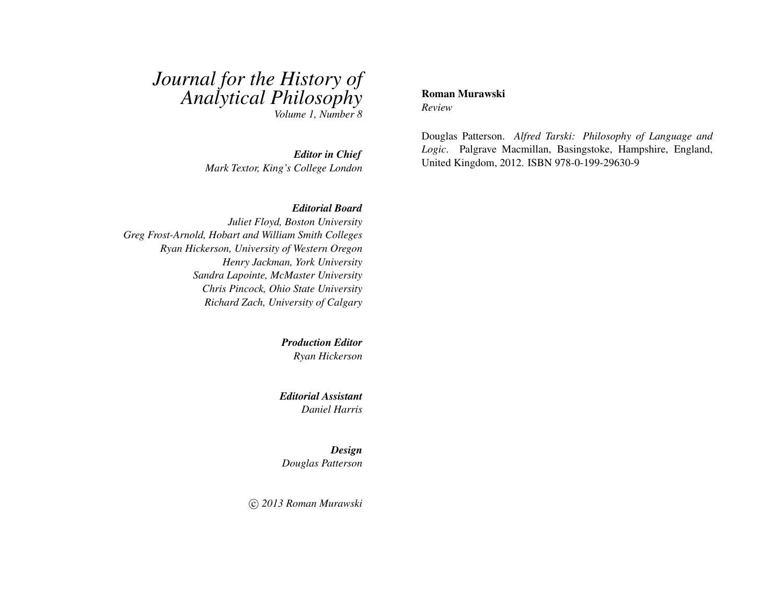# *Journal for the History of Analytical Philosophy*

*Volume 1, Number 8*

*Editor in Chief Mark Textor, King's College London*

#### *Editorial Board*

*Juliet Floyd, Boston University Greg Frost-Arnold, Hobart and William Smith Colleges Ryan Hickerson, University of Western Oregon Henry Jackman, York University Sandra Lapointe, McMaster University Chris Pincock, Ohio State University Richard Zach, University of Calgary*

> *Production Editor Ryan Hickerson*

*Editorial Assistant Daniel Harris*

*Design Douglas Patterson*

c *2013 Roman Murawski*

#### Roman Murawski *Review*

Douglas Patterson. *Alfred Tarski: Philosophy of Language and Logic*. Palgrave Macmillan, Basingstoke, Hampshire, England, United Kingdom, 2012. ISBN 978-0-199-29630-9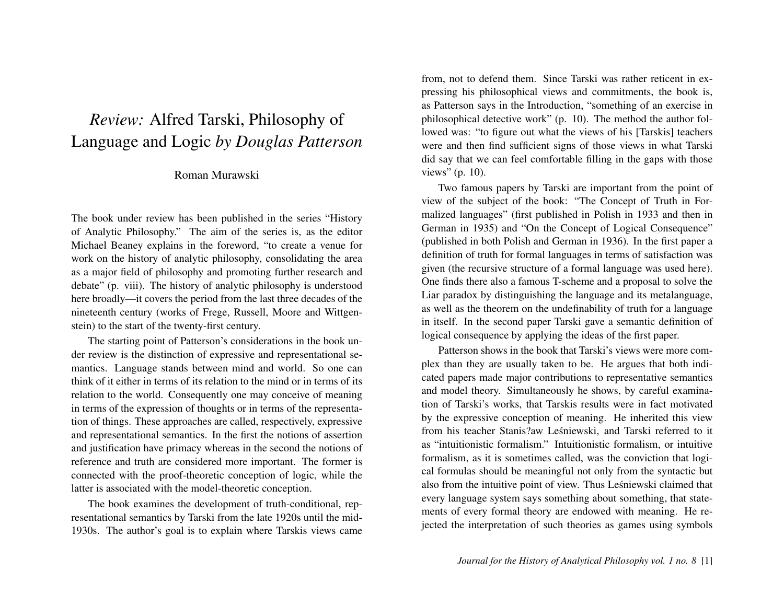## *Review:* Alfred Tarski, Philosophy of Language and Logic *by Douglas Patterson*

### Roman Murawski

The book under review has been published in the series "History of Analytic Philosophy." The aim of the series is, as the editor Michael Beaney explains in the foreword, "to create a venue for work on the history of analytic philosophy, consolidating the area as a major field of philosophy and promoting further research and debate" (p. viii). The history of analytic philosophy is understood here broadly—it covers the period from the last three decades of the nineteenth century (works of Frege, Russell, Moore and Wittgenstein) to the start of the twenty-first century.

The starting point of Patterson's considerations in the book under review is the distinction of expressive and representational semantics. Language stands between mind and world. So one can think of it either in terms of its relation to the mind or in terms of its relation to the world. Consequently one may conceive of meaning in terms of the expression of thoughts or in terms of the representation of things. These approaches are called, respectively, expressive and representational semantics. In the first the notions of assertion and justification have primacy whereas in the second the notions of reference and truth are considered more important. The former is connected with the proof-theoretic conception of logic, while the latter is associated with the model-theoretic conception.

The book examines the development of truth-conditional, representational semantics by Tarski from the late 1920s until the mid-1930s. The author's goal is to explain where Tarskis views came

from, not to defend them. Since Tarski was rather reticent in expressing his philosophical views and commitments, the book is, as Patterson says in the Introduction, "something of an exercise in philosophical detective work" (p. 10). The method the author followed was: "to figure out what the views of his [Tarskis] teachers were and then find sufficient signs of those views in what Tarski did say that we can feel comfortable filling in the gaps with those views" (p. 10).

Two famous papers by Tarski are important from the point of view of the subject of the book: "The Concept of Truth in Formalized languages" (first published in Polish in 1933 and then in German in 1935) and "On the Concept of Logical Consequence" (published in both Polish and German in 1936). In the first paper a definition of truth for formal languages in terms of satisfaction was given (the recursive structure of a formal language was used here). One finds there also a famous T-scheme and a proposal to solve the Liar paradox by distinguishing the language and its metalanguage, as well as the theorem on the undefinability of truth for a language in itself. In the second paper Tarski gave a semantic definition of logical consequence by applying the ideas of the first paper.

Patterson shows in the book that Tarski's views were more complex than they are usually taken to be. He argues that both indicated papers made major contributions to representative semantics and model theory. Simultaneously he shows, by careful examination of Tarski's works, that Tarskis results were in fact motivated by the expressive conception of meaning. He inherited this view from his teacher Stanis?aw Leśniewski, and Tarski referred to it as "intuitionistic formalism." Intuitionistic formalism, or intuitive formalism, as it is sometimes called, was the conviction that logical formulas should be meaningful not only from the syntactic but also from the intuitive point of view. Thus Leśniewski claimed that every language system says something about something, that statements of every formal theory are endowed with meaning. He rejected the interpretation of such theories as games using symbols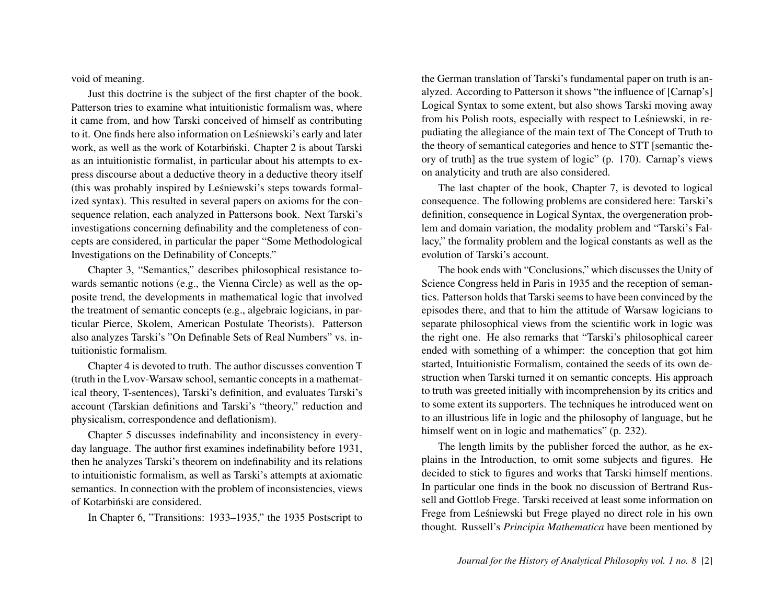void of meaning.

Just this doctrine is the subject of the first chapter of the book. Patterson tries to examine what intuitionistic formalism was, where it came from, and how Tarski conceived of himself as contributing to it. One finds here also information on Lesniewski's early and later ´ work, as well as the work of Kotarbiński. Chapter 2 is about Tarski as an intuitionistic formalist, in particular about his attempts to express discourse about a deductive theory in a deductive theory itself (this was probably inspired by Leśniewski's steps towards formalized syntax). This resulted in several papers on axioms for the consequence relation, each analyzed in Pattersons book. Next Tarski's investigations concerning definability and the completeness of concepts are considered, in particular the paper "Some Methodological Investigations on the Definability of Concepts."

Chapter 3, "Semantics," describes philosophical resistance towards semantic notions (e.g., the Vienna Circle) as well as the opposite trend, the developments in mathematical logic that involved the treatment of semantic concepts (e.g., algebraic logicians, in particular Pierce, Skolem, American Postulate Theorists). Patterson also analyzes Tarski's "On Definable Sets of Real Numbers" vs. intuitionistic formalism.

Chapter 4 is devoted to truth. The author discusses convention T (truth in the Lvov-Warsaw school, semantic concepts in a mathematical theory, T-sentences), Tarski's definition, and evaluates Tarski's account (Tarskian definitions and Tarski's "theory," reduction and physicalism, correspondence and deflationism).

Chapter 5 discusses indefinability and inconsistency in everyday language. The author first examines indefinability before 1931, then he analyzes Tarski's theorem on indefinability and its relations to intuitionistic formalism, as well as Tarski's attempts at axiomatic semantics. In connection with the problem of inconsistencies, views of Kotarbiński are considered.

In Chapter 6, "Transitions: 1933–1935," the 1935 Postscript to

the German translation of Tarski's fundamental paper on truth is analyzed. According to Patterson it shows "the influence of [Carnap's] Logical Syntax to some extent, but also shows Tarski moving away from his Polish roots, especially with respect to Leśniewski, in repudiating the allegiance of the main text of The Concept of Truth to the theory of semantical categories and hence to STT [semantic theory of truth] as the true system of logic" (p. 170). Carnap's views on analyticity and truth are also considered.

The last chapter of the book, Chapter 7, is devoted to logical consequence. The following problems are considered here: Tarski's definition, consequence in Logical Syntax, the overgeneration problem and domain variation, the modality problem and "Tarski's Fallacy," the formality problem and the logical constants as well as the evolution of Tarski's account.

The book ends with "Conclusions," which discusses the Unity of Science Congress held in Paris in 1935 and the reception of semantics. Patterson holds that Tarski seems to have been convinced by the episodes there, and that to him the attitude of Warsaw logicians to separate philosophical views from the scientific work in logic was the right one. He also remarks that "Tarski's philosophical career ended with something of a whimper: the conception that got him started, Intuitionistic Formalism, contained the seeds of its own destruction when Tarski turned it on semantic concepts. His approach to truth was greeted initially with incomprehension by its critics and to some extent its supporters. The techniques he introduced went on to an illustrious life in logic and the philosophy of language, but he himself went on in logic and mathematics" (p. 232).

The length limits by the publisher forced the author, as he explains in the Introduction, to omit some subjects and figures. He decided to stick to figures and works that Tarski himself mentions. In particular one finds in the book no discussion of Bertrand Russell and Gottlob Frege. Tarski received at least some information on Frege from Leśniewski but Frege played no direct role in his own thought. Russell's *Principia Mathematica* have been mentioned by